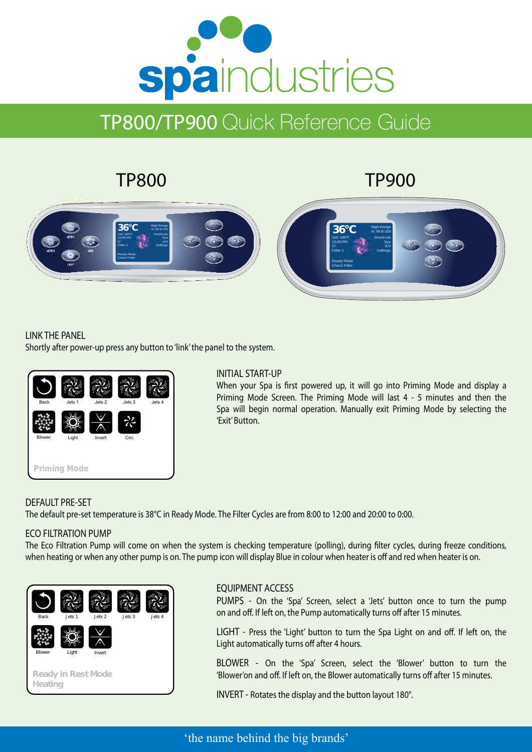# spaindustries

## TP800/TP900 Quick Reference Guide

## TP800

### TP900



#### LINK THE PANEL

Shortly after power-up press any button to 'link' the panel to the system.



#### INITIAL START-UP

When your Spa is first powered up, it will go into Priming Mode and display a Priming Mode Screen. The Priming Mode will last 4 - 5 minutes and then the Spa will begin normal operation. Manually exit Priming Mode by selecting the 'Exit' Button.

#### DEFAULT PRE-SET

The default pre-set temperature is 38°C in Ready Mode. The Filter Cycles are from 8:00 to 12:00 and 20:00 to 0:00.

#### ECO FILTRATION PUMP

The Eco Filtration Pump will come on when the system is checking temperature (polling), during filter cycles, during freeze conditions, when heating or when any other pump is on. The pump icon will display Blue in colour when heater is off and red when heater is on.



68.143%

#### EQUIPMENT ACCESS

PUMPS - On the 'Spa' Screen, select a 'Jets' button once to turn the pump on and off. If left on, the Pump automatically turns off after 15 minutes.

LIGHT - Press the 'Light' button to turn the Spa Light on and off. If left on, the Light automatically turns off after 4 hours.

BLOWER - On the 'Spa' Screen, select the 'Blower' button to turn the 'Blower'on and off. If left on, the Blower automatically turns off after 15 minutes.

INVERT - Rotates the display and the button layout 180°.